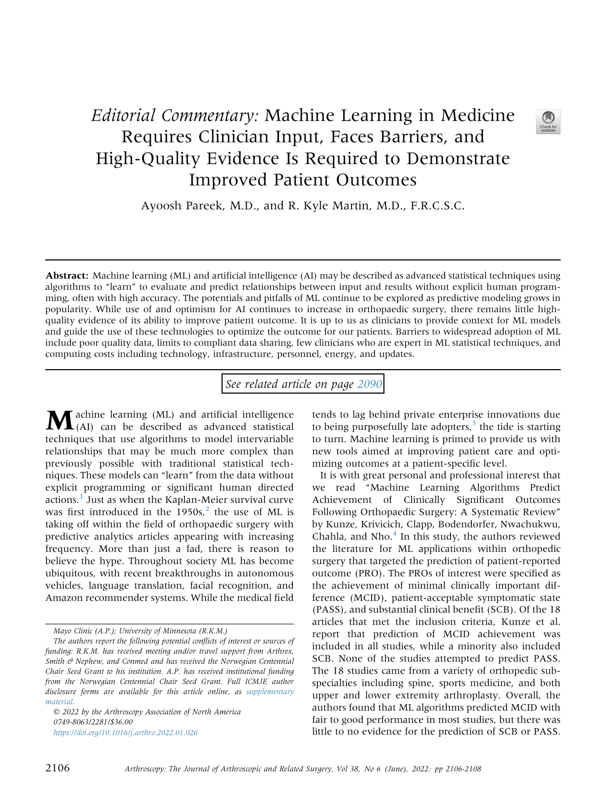## Editorial Commentary: Machine Learning in Medicine Requires Clinician Input, Faces Barriers, and High-Quality Evidence Is Required to Demonstrate Improved Patient Outcomes



Ayoosh Pareek, M.D., and R. Kyle Martin, M.D., F.R.C.S.C.

Abstract: Machine learning (ML) and artificial intelligence (AI) may be described as advanced statistical techniques using algorithms to "learn" to evaluate and predict relationships between input and results without explicit human programming, often with high accuracy. The potentials and pitfalls of ML continue to be explored as predictive modeling grows in popularity. While use of and optimism for AI continues to increase in orthopaedic surgery, there remains little highquality evidence of its ability to improve patient outcome. It is up to us as clinicians to provide context for ML models and guide the use of these technologies to optimize the outcome for our patients. Barriers to widespread adoption of ML include poor quality data, limits to compliant data sharing, few clinicians who are expert in ML statistical techniques, and computing costs including technology, infrastructure, personnel, energy, and updates.

See related article on page [2090](http://www.arthroscopyjournal.org/article/S0749-8063(21)01121-X/abstract)

Machine learning (ML) and artificial intelligence (AI) can be described as advanced statistical techniques that use algorithms to model intervariable relationships that may be much more complex than previously possible with traditional statistical techniques. These models can "learn" from the data without explicit programming or significant human directed actions.<sup>[1](#page-2-0)</sup> Just as when the Kaplan-Meier survival curve was first introduced in the  $1950s<sup>2</sup>$  $1950s<sup>2</sup>$  $1950s<sup>2</sup>$ , the use of ML is taking off within the field of orthopaedic surgery with predictive analytics articles appearing with increasing frequency. More than just a fad, there is reason to believe the hype. Throughout society ML has become ubiquitous, with recent breakthroughs in autonomous vehicles, language translation, facial recognition, and Amazon recommender systems. While the medical field

 2022 by the Arthroscopy Association of North America 0749-8063/2281/\$36.00 <https://doi.org/10.1016/j.arthro.2022.01.026>

tends to lag behind private enterprise innovations due to being purposefully late adopters, $3$  the tide is starting to turn. Machine learning is primed to provide us with new tools aimed at improving patient care and optimizing outcomes at a patient-specific level.

It is with great personal and professional interest that we read "Machine Learning Algorithms Predict Achievement of Clinically Significant Outcomes Following Orthopaedic Surgery: A Systematic Review" by Kunze, Krivicich, Clapp, Bodendorfer, Nwachukwu, Chahla, and Nho. $<sup>4</sup>$  $<sup>4</sup>$  $<sup>4</sup>$  In this study, the authors reviewed</sup> the literature for ML applications within orthopedic surgery that targeted the prediction of patient-reported outcome (PRO). The PROs of interest were specified as the achievement of minimal clinically important difference (MCID), patient-acceptable symptomatic state (PASS), and substantial clinical benefit (SCB). Of the 18 articles that met the inclusion criteria, Kunze et al. report that prediction of MCID achievement was included in all studies, while a minority also included SCB. None of the studies attempted to predict PASS. The 18 studies came from a variety of orthopedic subspecialties including spine, sports medicine, and both upper and lower extremity arthroplasty. Overall, the authors found that ML algorithms predicted MCID with fair to good performance in most studies, but there was little to no evidence for the prediction of SCB or PASS.

Mayo Clinic (A.P.); University of Minnesota (R.K.M.)

The authors report the following potential conflicts of interest or sources of funding: R.K.M. has received meeting and/or travel support from Arthrex, Smith  $\theta$  Nephew, and Conmed and has received the Norwegian Centennial Chair Seed Grant to his institution. A.P. has received institutional funding from the Norwegian Centennial Chair Seed Grant. Full ICMJE author disclosure forms are available for this article online, as supplementary material.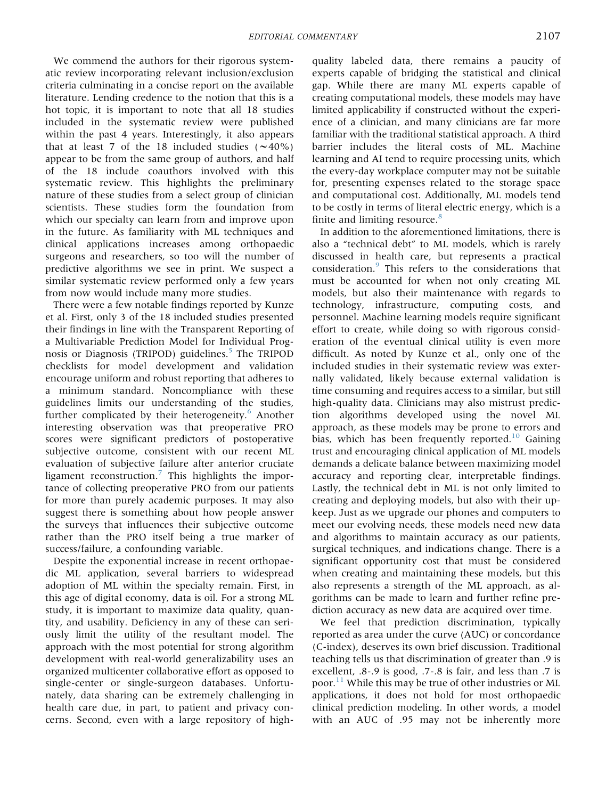We commend the authors for their rigorous systematic review incorporating relevant inclusion/exclusion criteria culminating in a concise report on the available literature. Lending credence to the notion that this is a hot topic, it is important to note that all 18 studies included in the systematic review were published within the past 4 years. Interestingly, it also appears that at least 7 of the 18 included studies  $(\sim 40\%)$ appear to be from the same group of authors, and half of the 18 include coauthors involved with this systematic review. This highlights the preliminary nature of these studies from a select group of clinician scientists. These studies form the foundation from which our specialty can learn from and improve upon in the future. As familiarity with ML techniques and clinical applications increases among orthopaedic surgeons and researchers, so too will the number of predictive algorithms we see in print. We suspect a similar systematic review performed only a few years from now would include many more studies.

There were a few notable findings reported by Kunze et al. First, only 3 of the 18 included studies presented their findings in line with the Transparent Reporting of a Multivariable Prediction Model for Individual Prog-nosis or Diagnosis (TRIPOD) guidelines.<sup>[5](#page-2-4)</sup> The TRIPOD checklists for model development and validation encourage uniform and robust reporting that adheres to a minimum standard. Noncompliance with these guidelines limits our understanding of the studies, further complicated by their heterogeneity.<sup>[6](#page-2-5)</sup> Another interesting observation was that preoperative PRO scores were significant predictors of postoperative subjective outcome, consistent with our recent ML evaluation of subjective failure after anterior cruciate ligament reconstruction.<sup>[7](#page-2-6)</sup> This highlights the importance of collecting preoperative PRO from our patients for more than purely academic purposes. It may also suggest there is something about how people answer the surveys that influences their subjective outcome rather than the PRO itself being a true marker of success/failure, a confounding variable.

Despite the exponential increase in recent orthopaedic ML application, several barriers to widespread adoption of ML within the specialty remain. First, in this age of digital economy, data is oil. For a strong ML study, it is important to maximize data quality, quantity, and usability. Deficiency in any of these can seriously limit the utility of the resultant model. The approach with the most potential for strong algorithm development with real-world generalizability uses an organized multicenter collaborative effort as opposed to single-center or single-surgeon databases. Unfortunately, data sharing can be extremely challenging in health care due, in part, to patient and privacy concerns. Second, even with a large repository of high-

quality labeled data, there remains a paucity of experts capable of bridging the statistical and clinical gap. While there are many ML experts capable of creating computational models, these models may have limited applicability if constructed without the experience of a clinician, and many clinicians are far more familiar with the traditional statistical approach. A third barrier includes the literal costs of ML. Machine learning and AI tend to require processing units, which the every-day workplace computer may not be suitable for, presenting expenses related to the storage space and computational cost. Additionally, ML models tend to be costly in terms of literal electric energy, which is a finite and limiting resource. $8$ 

In addition to the aforementioned limitations, there is also a "technical debt" to ML models, which is rarely discussed in health care, but represents a practical consideration.[9](#page-2-8) This refers to the considerations that must be accounted for when not only creating ML models, but also their maintenance with regards to technology, infrastructure, computing costs, and personnel. Machine learning models require significant effort to create, while doing so with rigorous consideration of the eventual clinical utility is even more difficult. As noted by Kunze et al., only one of the included studies in their systematic review was externally validated, likely because external validation is time consuming and requires access to a similar, but still high-quality data. Clinicians may also mistrust prediction algorithms developed using the novel ML approach, as these models may be prone to errors and bias, which has been frequently reported.<sup>10</sup> Gaining trust and encouraging clinical application of ML models demands a delicate balance between maximizing model accuracy and reporting clear, interpretable findings. Lastly, the technical debt in ML is not only limited to creating and deploying models, but also with their upkeep. Just as we upgrade our phones and computers to meet our evolving needs, these models need new data and algorithms to maintain accuracy as our patients, surgical techniques, and indications change. There is a significant opportunity cost that must be considered when creating and maintaining these models, but this also represents a strength of the ML approach, as algorithms can be made to learn and further refine prediction accuracy as new data are acquired over time.

We feel that prediction discrimination, typically reported as area under the curve (AUC) or concordance (C-index), deserves its own brief discussion. Traditional teaching tells us that discrimination of greater than .9 is excellent, .8-.9 is good, .7-.8 is fair, and less than .7 is poor.<sup>[11](#page-2-10)</sup> While this may be true of other industries or ML applications, it does not hold for most orthopaedic clinical prediction modeling. In other words, a model with an AUC of .95 may not be inherently more